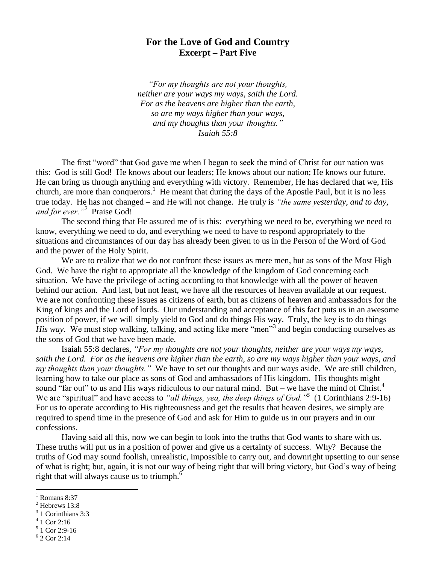## **For the Love of God and Country Excerpt – Part Five**

*"For my thoughts are not your thoughts, neither are your ways my ways, saith the Lord. For as the heavens are higher than the earth, so are my ways higher than your ways, and my thoughts than your thoughts." Isaiah 55:8*

The first "word" that God gave me when I began to seek the mind of Christ for our nation was this: God is still God! He knows about our leaders; He knows about our nation; He knows our future. He can bring us through anything and everything with victory. Remember, He has declared that we, His church, are more than conquerors.<sup>1</sup> He meant that during the days of the Apostle Paul, but it is no less true today. He has not changed – and He will not change. He truly is *"the same yesterday, and to day, and for ever."<sup>2</sup>* Praise God!

The second thing that He assured me of is this: everything we need to be, everything we need to know, everything we need to do, and everything we need to have to respond appropriately to the situations and circumstances of our day has already been given to us in the Person of the Word of God and the power of the Holy Spirit.

We are to realize that we do not confront these issues as mere men, but as sons of the Most High God. We have the right to appropriate all the knowledge of the kingdom of God concerning each situation. We have the privilege of acting according to that knowledge with all the power of heaven behind our action. And last, but not least, we have all the resources of heaven available at our request. We are not confronting these issues as citizens of earth, but as citizens of heaven and ambassadors for the King of kings and the Lord of lords. Our understanding and acceptance of this fact puts us in an awesome position of power, if we will simply yield to God and do things His way. Truly, the key is to do things *His way*. We must stop walking, talking, and acting like mere "men"<sup>3</sup> and begin conducting ourselves as the sons of God that we have been made.

Isaiah 55:8 declares, *"For my thoughts are not your thoughts, neither are your ways my ways, saith the Lord. For as the heavens are higher than the earth, so are my ways higher than your ways, and my thoughts than your thoughts."* We have to set our thoughts and our ways aside. We are still children, learning how to take our place as sons of God and ambassadors of His kingdom. His thoughts might sound "far out" to us and His ways ridiculous to our natural mind. But – we have the mind of Christ.<sup>4</sup> We are "spiritual" and have access to "all things, yea, the deep things of God."<sup>5</sup> (1 Corinthians 2:9-16) For us to operate according to His righteousness and get the results that heaven desires, we simply are required to spend time in the presence of God and ask for Him to guide us in our prayers and in our confessions.

Having said all this, now we can begin to look into the truths that God wants to share with us. These truths will put us in a position of power and give us a certainty of success. Why? Because the truths of God may sound foolish, unrealistic, impossible to carry out, and downright upsetting to our sense of what is right; but, again, it is not our way of being right that will bring victory, but God's way of being right that will always cause us to triumph. $6$ 

 $\overline{a}$ 

4 1 Cor 2:16

 $^{1}$  Romans 8:37

Hebrews 13:8

<sup>3</sup> 1 Corinthians 3:3

<sup>5</sup> 1 Cor 2:9-16

<sup>6</sup> 2 Cor 2:14